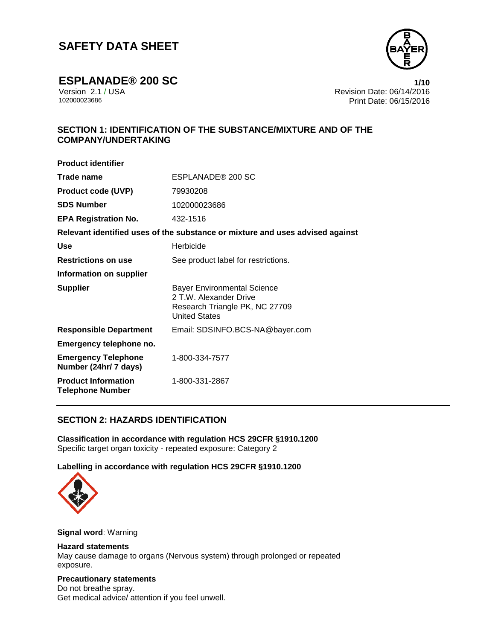

**ESPLANADE® 200 SC 1/10** Version 2.1 / USA Revision Date: 06/14/2016 Print Date: 06/15/2016

# **SECTION 1: IDENTIFICATION OF THE SUBSTANCE/MIXTURE AND OF THE COMPANY/UNDERTAKING**

| <b>Product identifier</b>                             |                                                                                                                        |  |
|-------------------------------------------------------|------------------------------------------------------------------------------------------------------------------------|--|
| Trade name                                            | ESPLANADE® 200 SC                                                                                                      |  |
| <b>Product code (UVP)</b>                             | 79930208                                                                                                               |  |
| <b>SDS Number</b>                                     | 102000023686                                                                                                           |  |
| <b>EPA Registration No.</b>                           | 432-1516                                                                                                               |  |
|                                                       | Relevant identified uses of the substance or mixture and uses advised against                                          |  |
| Use                                                   | Herbicide                                                                                                              |  |
| <b>Restrictions on use</b>                            | See product label for restrictions.                                                                                    |  |
| Information on supplier                               |                                                                                                                        |  |
| <b>Supplier</b>                                       | <b>Bayer Environmental Science</b><br>2 T.W. Alexander Drive<br>Research Triangle PK, NC 27709<br><b>United States</b> |  |
| <b>Responsible Department</b>                         | Email: SDSINFO.BCS-NA@bayer.com                                                                                        |  |
| Emergency telephone no.                               |                                                                                                                        |  |
| <b>Emergency Telephone</b><br>Number (24hr/ 7 days)   | 1-800-334-7577                                                                                                         |  |
| <b>Product Information</b><br><b>Telephone Number</b> | 1-800-331-2867                                                                                                         |  |

## **SECTION 2: HAZARDS IDENTIFICATION**

**Classification in accordance with regulation HCS 29CFR §1910.1200** Specific target organ toxicity - repeated exposure: Category 2

## **Labelling in accordance with regulation HCS 29CFR §1910.1200**



#### **Signal word**: Warning

## **Hazard statements**

May cause damage to organs (Nervous system) through prolonged or repeated exposure.

#### **Precautionary statements**

Do not breathe spray. Get medical advice/ attention if you feel unwell.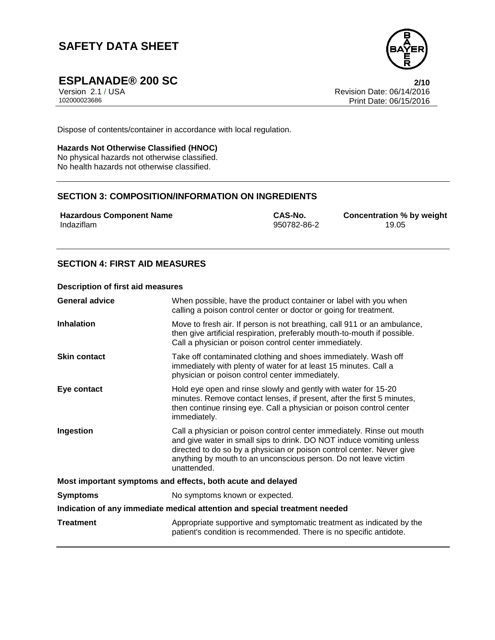

**ESPLANADE® 200 SC 2/10**

Version 2.1 / USA Revision Date: 06/14/2016 Print Date: 06/15/2016

Dispose of contents/container in accordance with local regulation.

#### **Hazards Not Otherwise Classified (HNOC)**

No physical hazards not otherwise classified. No health hazards not otherwise classified.

# **SECTION 3: COMPOSITION/INFORMATION ON INGREDIENTS**

**Hazardous Component Name CAS-No. Concentration % by weight** Indaziflam 950782-86-2 19.05

# **SECTION 4: FIRST AID MEASURES**

#### **Description of first aid measures**

| <b>General advice</b>                                                      | When possible, have the product container or label with you when<br>calling a poison control center or doctor or going for treatment.                                                                                                                                                                     |  |
|----------------------------------------------------------------------------|-----------------------------------------------------------------------------------------------------------------------------------------------------------------------------------------------------------------------------------------------------------------------------------------------------------|--|
| <b>Inhalation</b>                                                          | Move to fresh air. If person is not breathing, call 911 or an ambulance,<br>then give artificial respiration, preferably mouth-to-mouth if possible.<br>Call a physician or poison control center immediately.                                                                                            |  |
| <b>Skin contact</b>                                                        | Take off contaminated clothing and shoes immediately. Wash off<br>immediately with plenty of water for at least 15 minutes. Call a<br>physician or poison control center immediately.                                                                                                                     |  |
| Eye contact                                                                | Hold eye open and rinse slowly and gently with water for 15-20<br>minutes. Remove contact lenses, if present, after the first 5 minutes,<br>then continue rinsing eye. Call a physician or poison control center<br>immediately.                                                                          |  |
| Ingestion                                                                  | Call a physician or poison control center immediately. Rinse out mouth<br>and give water in small sips to drink. DO NOT induce vomiting unless<br>directed to do so by a physician or poison control center. Never give<br>anything by mouth to an unconscious person. Do not leave victim<br>unattended. |  |
| Most important symptoms and effects, both acute and delayed                |                                                                                                                                                                                                                                                                                                           |  |
| <b>Symptoms</b>                                                            | No symptoms known or expected.                                                                                                                                                                                                                                                                            |  |
| Indication of any immediate medical attention and special treatment needed |                                                                                                                                                                                                                                                                                                           |  |
| <b>Treatment</b>                                                           | Appropriate supportive and symptomatic treatment as indicated by the<br>patient's condition is recommended. There is no specific antidote.                                                                                                                                                                |  |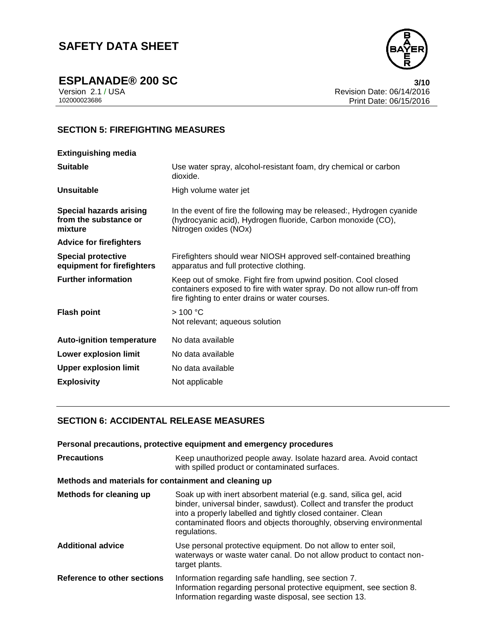**ESPLANADE®** 200 SC 3/10<br>Version 2.1 / USA 3/10<br>Revision Date: 06/14/2016 Version 2.1 / USA Revision Date: 06/14/2016 Print Date: 06/15/2016

# **SECTION 5: FIREFIGHTING MEASURES**

| <b>Extinguishing media</b>                                         |                                                                                                                                                                                              |
|--------------------------------------------------------------------|----------------------------------------------------------------------------------------------------------------------------------------------------------------------------------------------|
| <b>Suitable</b>                                                    | Use water spray, alcohol-resistant foam, dry chemical or carbon<br>dioxide.                                                                                                                  |
| <b>Unsuitable</b>                                                  | High volume water jet                                                                                                                                                                        |
| <b>Special hazards arising</b><br>from the substance or<br>mixture | In the event of fire the following may be released:, Hydrogen cyanide<br>(hydrocyanic acid), Hydrogen fluoride, Carbon monoxide (CO),<br>Nitrogen oxides (NOx)                               |
| <b>Advice for firefighters</b>                                     |                                                                                                                                                                                              |
| <b>Special protective</b><br>equipment for firefighters            | Firefighters should wear NIOSH approved self-contained breathing<br>apparatus and full protective clothing.                                                                                  |
| <b>Further information</b>                                         | Keep out of smoke. Fight fire from upwind position. Cool closed<br>containers exposed to fire with water spray. Do not allow run-off from<br>fire fighting to enter drains or water courses. |
| <b>Flash point</b>                                                 | >100 °C<br>Not relevant; aqueous solution                                                                                                                                                    |
| <b>Auto-ignition temperature</b>                                   | No data available                                                                                                                                                                            |
| <b>Lower explosion limit</b>                                       | No data available                                                                                                                                                                            |
| <b>Upper explosion limit</b>                                       | No data available                                                                                                                                                                            |
| <b>Explosivity</b>                                                 | Not applicable                                                                                                                                                                               |
|                                                                    |                                                                                                                                                                                              |

## **SECTION 6: ACCIDENTAL RELEASE MEASURES**

|                                                       | Personal precautions, protective equipment and emergency procedures                                                                                                                                                                                                                               |  |
|-------------------------------------------------------|---------------------------------------------------------------------------------------------------------------------------------------------------------------------------------------------------------------------------------------------------------------------------------------------------|--|
| <b>Precautions</b>                                    | Keep unauthorized people away. Isolate hazard area. Avoid contact<br>with spilled product or contaminated surfaces.                                                                                                                                                                               |  |
| Methods and materials for containment and cleaning up |                                                                                                                                                                                                                                                                                                   |  |
| Methods for cleaning up                               | Soak up with inert absorbent material (e.g. sand, silica gel, acid<br>binder, universal binder, sawdust). Collect and transfer the product<br>into a properly labelled and tightly closed container. Clean<br>contaminated floors and objects thoroughly, observing environmental<br>regulations. |  |
| <b>Additional advice</b>                              | Use personal protective equipment. Do not allow to enter soil,<br>waterways or waste water canal. Do not allow product to contact non-<br>target plants.                                                                                                                                          |  |
| Reference to other sections                           | Information regarding safe handling, see section 7.<br>Information regarding personal protective equipment, see section 8.<br>Information regarding waste disposal, see section 13.                                                                                                               |  |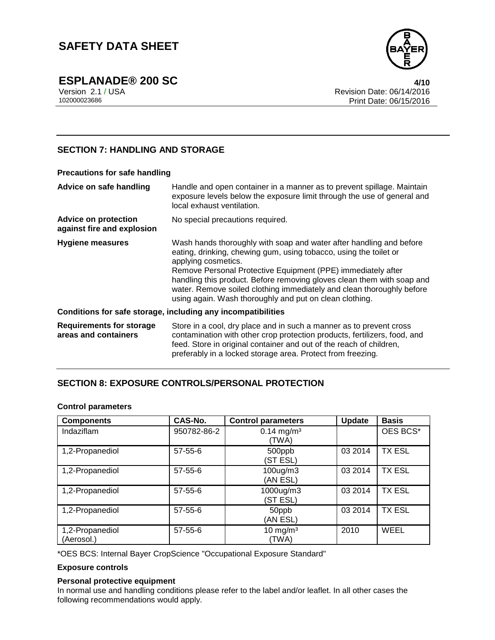

**ESPLANADE® 200 SC 4/10**

Version 2.1 / USA Revision Date: 06/14/2016 Print Date: 06/15/2016

## **SECTION 7: HANDLING AND STORAGE**

| Precautions for safe handling                             |                                                                                                                                                                                                                                                                                                                                                                                                                                               |  |
|-----------------------------------------------------------|-----------------------------------------------------------------------------------------------------------------------------------------------------------------------------------------------------------------------------------------------------------------------------------------------------------------------------------------------------------------------------------------------------------------------------------------------|--|
| Advice on safe handling                                   | Handle and open container in a manner as to prevent spillage. Maintain<br>exposure levels below the exposure limit through the use of general and<br>local exhaust ventilation.                                                                                                                                                                                                                                                               |  |
| <b>Advice on protection</b><br>against fire and explosion | No special precautions required.                                                                                                                                                                                                                                                                                                                                                                                                              |  |
| <b>Hygiene measures</b>                                   | Wash hands thoroughly with soap and water after handling and before<br>eating, drinking, chewing gum, using tobacco, using the toilet or<br>applying cosmetics.<br>Remove Personal Protective Equipment (PPE) immediately after<br>handling this product. Before removing gloves clean them with soap and<br>water. Remove soiled clothing immediately and clean thoroughly before<br>using again. Wash thoroughly and put on clean clothing. |  |
|                                                           | Conditions for safe storage, including any incompatibilities                                                                                                                                                                                                                                                                                                                                                                                  |  |
| <b>Requirements for storage</b><br>areas and containers   | Store in a cool, dry place and in such a manner as to prevent cross<br>contamination with other crop protection products, fertilizers, food, and<br>feed. Store in original container and out of the reach of children,<br>preferably in a locked storage area. Protect from freezing.                                                                                                                                                        |  |

## **SECTION 8: EXPOSURE CONTROLS/PERSONAL PROTECTION**

### **Control parameters**

| <b>Components</b>             | CAS-No.       | <b>Control parameters</b>         | <b>Update</b> | <b>Basis</b>  |
|-------------------------------|---------------|-----------------------------------|---------------|---------------|
| Indaziflam                    | 950782-86-2   | $0.14$ mg/m <sup>3</sup><br>(TWA) |               | OES BCS*      |
| 1,2-Propanediol               | $57 - 55 - 6$ | 500ppb<br>(ST ESL)                | 03 2014       | <b>TX ESL</b> |
| 1,2-Propanediol               | $57 - 55 - 6$ | $100$ ug/m $3$<br>(AN ESL)        | 03 2014       | <b>TX ESL</b> |
| 1,2-Propanediol               | $57 - 55 - 6$ | 1000ug/m3<br>(ST ESL)             | 03 2014       | <b>TX ESL</b> |
| 1,2-Propanediol               | $57 - 55 - 6$ | 50ppb<br>(AN ESL)                 | 03 2014       | <b>TX ESL</b> |
| 1,2-Propanediol<br>(Aerosol.) | $57 - 55 - 6$ | 10 mg/m $3$<br>(TWA)              | 2010          | <b>WEEL</b>   |

\*OES BCS: Internal Bayer CropScience "Occupational Exposure Standard"

#### **Exposure controls**

#### **Personal protective equipment**

In normal use and handling conditions please refer to the label and/or leaflet. In all other cases the following recommendations would apply.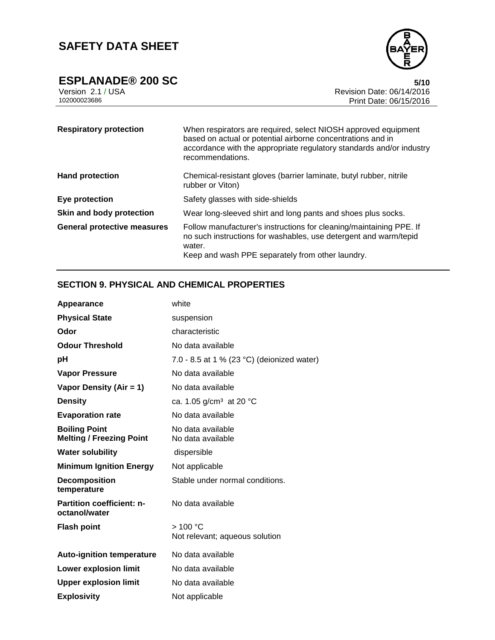**ESPLANADE®** 200 SC 5/10<br>Version 2.1 / USA 6/14/2016



Version 2.1 / USA Revision Date: 06/14/2016 Print Date: 06/15/2016

| <b>Respiratory protection</b>      | When respirators are required, select NIOSH approved equipment<br>based on actual or potential airborne concentrations and in<br>accordance with the appropriate regulatory standards and/or industry<br>recommendations. |
|------------------------------------|---------------------------------------------------------------------------------------------------------------------------------------------------------------------------------------------------------------------------|
| <b>Hand protection</b>             | Chemical-resistant gloves (barrier laminate, butyl rubber, nitrile<br>rubber or Viton)                                                                                                                                    |
| Eye protection                     | Safety glasses with side-shields                                                                                                                                                                                          |
| Skin and body protection           | Wear long-sleeved shirt and long pants and shoes plus socks.                                                                                                                                                              |
| <b>General protective measures</b> | Follow manufacturer's instructions for cleaning/maintaining PPE. If<br>no such instructions for washables, use detergent and warm/tepid<br>water.<br>Keep and wash PPE separately from other laundry.                     |

# **SECTION 9. PHYSICAL AND CHEMICAL PROPERTIES**

| Appearance                                              | white                                      |
|---------------------------------------------------------|--------------------------------------------|
| <b>Physical State</b>                                   | suspension                                 |
| Odor                                                    | characteristic                             |
| <b>Odour Threshold</b>                                  | No data available                          |
| рH                                                      | 7.0 - 8.5 at 1 % (23 °C) (deionized water) |
| <b>Vapor Pressure</b>                                   | No data available                          |
| Vapor Density (Air = 1)                                 | No data available                          |
| <b>Density</b>                                          | ca. 1.05 g/cm <sup>3</sup> at 20 °C        |
| <b>Evaporation rate</b>                                 | No data available                          |
| <b>Boiling Point</b><br><b>Melting / Freezing Point</b> | No data available<br>No data available     |
| <b>Water solubility</b>                                 | dispersible                                |
| <b>Minimum Ignition Energy</b>                          | Not applicable                             |
| <b>Decomposition</b><br>temperature                     | Stable under normal conditions.            |
| <b>Partition coefficient: n-</b><br>octanol/water       | No data available                          |
| <b>Flash point</b>                                      | >100 °C<br>Not relevant; aqueous solution  |
| <b>Auto-ignition temperature</b>                        | No data available                          |
| <b>Lower explosion limit</b>                            | No data available                          |
| <b>Upper explosion limit</b>                            | No data available                          |
| <b>Explosivity</b>                                      | Not applicable                             |
|                                                         |                                            |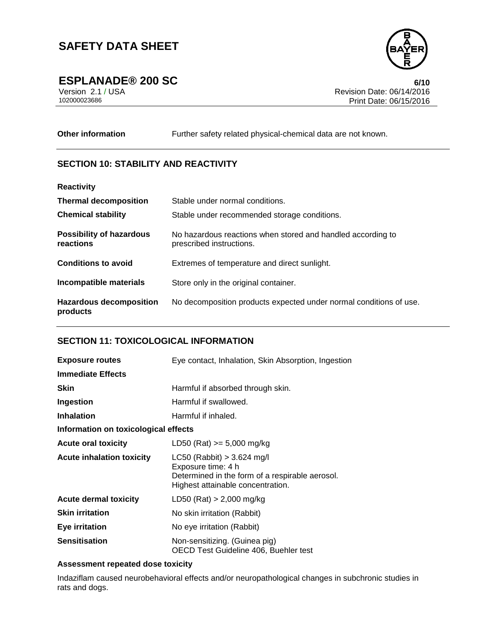

**ESPLANADE® 200 SC 6/10**

Version 2.1 / USA Revision Date: 06/14/2016 Print Date: 06/15/2016

**Other information** Further safety related physical-chemical data are not known.

## **SECTION 10: STABILITY AND REACTIVITY**

| <b>Reactivity</b>                            |                                                                                         |
|----------------------------------------------|-----------------------------------------------------------------------------------------|
| <b>Thermal decomposition</b>                 | Stable under normal conditions.                                                         |
| <b>Chemical stability</b>                    | Stable under recommended storage conditions.                                            |
| <b>Possibility of hazardous</b><br>reactions | No hazardous reactions when stored and handled according to<br>prescribed instructions. |
| <b>Conditions to avoid</b>                   | Extremes of temperature and direct sunlight.                                            |
| Incompatible materials                       | Store only in the original container.                                                   |
| <b>Hazardous decomposition</b><br>products   | No decomposition products expected under normal conditions of use.                      |

## **SECTION 11: TOXICOLOGICAL INFORMATION**

| <b>Exposure routes</b>               | Eye contact, Inhalation, Skin Absorption, Ingestion                                                                                        |  |
|--------------------------------------|--------------------------------------------------------------------------------------------------------------------------------------------|--|
| <b>Immediate Effects</b>             |                                                                                                                                            |  |
| <b>Skin</b>                          | Harmful if absorbed through skin.                                                                                                          |  |
| Ingestion                            | Harmful if swallowed.                                                                                                                      |  |
| <b>Inhalation</b>                    | Harmful if inhaled.                                                                                                                        |  |
| Information on toxicological effects |                                                                                                                                            |  |
| <b>Acute oral toxicity</b>           | LD50 (Rat) $>= 5,000$ mg/kg                                                                                                                |  |
| <b>Acute inhalation toxicity</b>     | $LC50$ (Rabbit) > 3.624 mg/l<br>Exposure time: 4 h<br>Determined in the form of a respirable aerosol.<br>Highest attainable concentration. |  |
| <b>Acute dermal toxicity</b>         | LD50 (Rat) $> 2,000$ mg/kg                                                                                                                 |  |
| <b>Skin irritation</b>               | No skin irritation (Rabbit)                                                                                                                |  |
| <b>Eye irritation</b>                | No eye irritation (Rabbit)                                                                                                                 |  |
| <b>Sensitisation</b>                 | Non-sensitizing. (Guinea pig)<br>OECD Test Guideline 406, Buehler test                                                                     |  |

## **Assessment repeated dose toxicity**

Indaziflam caused neurobehavioral effects and/or neuropathological changes in subchronic studies in rats and dogs.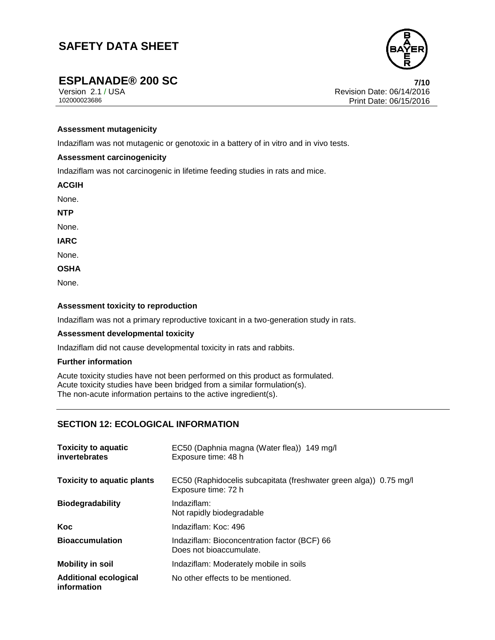

**ESPLANADE® 200 SC**<br> **PESPLANADE® 200 SC**<br> **PESPLANADE® 200 SC**<br> **PESPLANADE®** 200 SC Version 2.1 / USA Revision Date: 06/14/2016 Print Date: 06/15/2016

#### **Assessment mutagenicity**

Indaziflam was not mutagenic or genotoxic in a battery of in vitro and in vivo tests.

#### **Assessment carcinogenicity**

Indaziflam was not carcinogenic in lifetime feeding studies in rats and mice.

**ACGIH**

None.

**NTP**

None.

**IARC**

None.

**OSHA**

None.

#### **Assessment toxicity to reproduction**

Indaziflam was not a primary reproductive toxicant in a two-generation study in rats.

#### **Assessment developmental toxicity**

Indaziflam did not cause developmental toxicity in rats and rabbits.

#### **Further information**

Acute toxicity studies have not been performed on this product as formulated. Acute toxicity studies have been bridged from a similar formulation(s). The non-acute information pertains to the active ingredient(s).

### **SECTION 12: ECOLOGICAL INFORMATION**

| <b>Toxicity to aquatic</b><br>invertebrates | EC50 (Daphnia magna (Water flea)) 149 mg/l<br>Exposure time: 48 h                        |
|---------------------------------------------|------------------------------------------------------------------------------------------|
| <b>Toxicity to aquatic plants</b>           | EC50 (Raphidocelis subcapitata (freshwater green alga)) 0.75 mg/l<br>Exposure time: 72 h |
| <b>Biodegradability</b>                     | Indaziflam:<br>Not rapidly biodegradable                                                 |
| Koc                                         | Indaziflam: Koc: 496                                                                     |
| <b>Bioaccumulation</b>                      | Indaziflam: Bioconcentration factor (BCF) 66<br>Does not bioaccumulate.                  |
| <b>Mobility in soil</b>                     | Indaziflam: Moderately mobile in soils                                                   |
| <b>Additional ecological</b><br>information | No other effects to be mentioned.                                                        |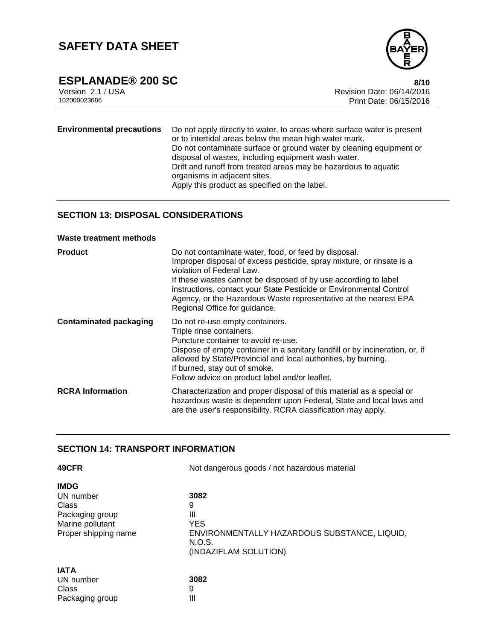

**ESPLANADE® 200 SC** 8/10<br>Version 2.1 / USA 8/10<br>Revision Date: 06/14/2016 Version 2.1 / USA Revision Date: 06/14/2016 Print Date: 06/15/2016

**Environmental precautions** Do not apply directly to water, to areas where surface water is present or to intertidal areas below the mean high water mark. Do not contaminate surface or ground water by cleaning equipment or disposal of wastes, including equipment wash water. Drift and runoff from treated areas may be hazardous to aquatic organisms in adjacent sites. Apply this product as specified on the label.

# **SECTION 13: DISPOSAL CONSIDERATIONS**

#### **Waste treatment methods**

| <b>Product</b>                | Do not contaminate water, food, or feed by disposal.<br>Improper disposal of excess pesticide, spray mixture, or rinsate is a<br>violation of Federal Law.<br>If these wastes cannot be disposed of by use according to label<br>instructions, contact your State Pesticide or Environmental Control<br>Agency, or the Hazardous Waste representative at the nearest EPA<br>Regional Office for guidance. |
|-------------------------------|-----------------------------------------------------------------------------------------------------------------------------------------------------------------------------------------------------------------------------------------------------------------------------------------------------------------------------------------------------------------------------------------------------------|
| <b>Contaminated packaging</b> | Do not re-use empty containers.<br>Triple rinse containers.<br>Puncture container to avoid re-use.<br>Dispose of empty container in a sanitary landfill or by incineration, or, if<br>allowed by State/Provincial and local authorities, by burning.<br>If burned, stay out of smoke.<br>Follow advice on product label and/or leaflet.                                                                   |
| <b>RCRA</b> Information       | Characterization and proper disposal of this material as a special or<br>hazardous waste is dependent upon Federal, State and local laws and<br>are the user's responsibility. RCRA classification may apply.                                                                                                                                                                                             |

## **SECTION 14: TRANSPORT INFORMATION**

Packaging group III

| 49CFR                | Not dangerous goods / not hazardous material           |  |  |
|----------------------|--------------------------------------------------------|--|--|
| <b>IMDG</b>          |                                                        |  |  |
| UN number            | 3082                                                   |  |  |
| Class                | 9                                                      |  |  |
| Packaging group      | Ш                                                      |  |  |
| Marine pollutant     | <b>YES</b>                                             |  |  |
| Proper shipping name | ENVIRONMENTALLY HAZARDOUS SUBSTANCE, LIQUID,<br>N.O.S. |  |  |
|                      | (INDAZIFLAM SOLUTION)                                  |  |  |
| <b>IATA</b>          |                                                        |  |  |
| UN number            | 3082                                                   |  |  |
| Class                | 9                                                      |  |  |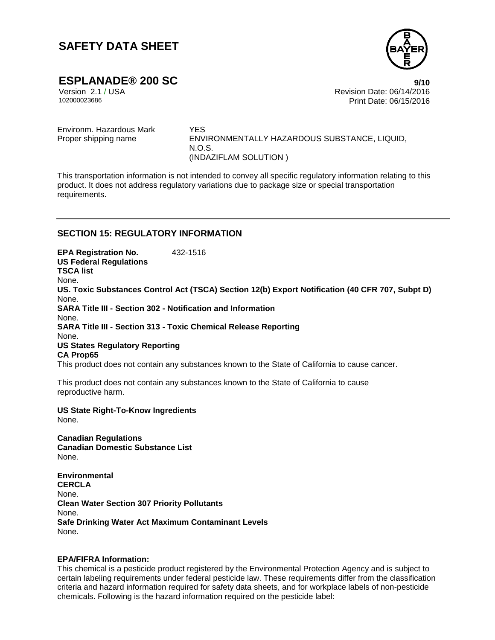

**ESPLANADE® 200 SC** 9/10<br>Version 2.1/USA 9/10<br>Revision Date: 06/14/2016 Version 2.1 / USA المستخدم المستخدم المستخدم المستخدم المستخدم المستخدم المستخدم المستخدم المستخدم المستخدم ال<br>2010/11/2016 102000023686 Print Date: 06/15/2016 Print Date: 06/15/2016

Environm. Hazardous Mark YES

Proper shipping name ENVIRONMENTALLY HAZARDOUS SUBSTANCE, LIQUID, N.O.S. (INDAZIFLAM SOLUTION )

This transportation information is not intended to convey all specific regulatory information relating to this product. It does not address regulatory variations due to package size or special transportation requirements.

## **SECTION 15: REGULATORY INFORMATION**

**EPA Registration No.** 432-1516 **US Federal Regulations TSCA list** None. **US. Toxic Substances Control Act (TSCA) Section 12(b) Export Notification (40 CFR 707, Subpt D)** None. **SARA Title III - Section 302 - Notification and Information** None. **SARA Title III - Section 313 - Toxic Chemical Release Reporting** None. **US States Regulatory Reporting CA Prop65** This product does not contain any substances known to the State of California to cause cancer.

This product does not contain any substances known to the State of California to cause reproductive harm.

**US State Right-To-Know Ingredients** None.

**Canadian Regulations Canadian Domestic Substance List** None.

**Environmental CERCLA** None. **Clean Water Section 307 Priority Pollutants** None. **Safe Drinking Water Act Maximum Contaminant Levels** None.

#### **EPA/FIFRA Information:**

This chemical is a pesticide product registered by the Environmental Protection Agency and is subject to certain labeling requirements under federal pesticide law. These requirements differ from the classification criteria and hazard information required for safety data sheets, and for workplace labels of non-pesticide chemicals. Following is the hazard information required on the pesticide label: